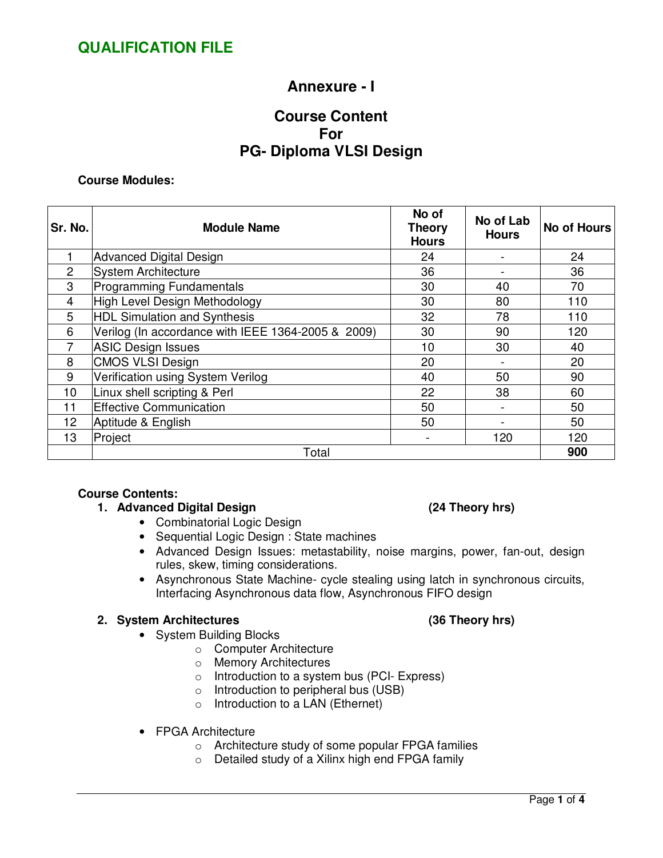## **Annexure - I**

## **Course Content For PG- Diploma VLSI Design**

### **Course Modules:**

| Sr. No.         | <b>Module Name</b>                                 | No of<br><b>Theory</b><br><b>Hours</b> | No of Lab<br><b>Hours</b> | <b>No of Hours</b> |
|-----------------|----------------------------------------------------|----------------------------------------|---------------------------|--------------------|
|                 | <b>Advanced Digital Design</b>                     | 24                                     |                           | 24                 |
| $\overline{2}$  | System Architecture                                | 36                                     |                           | 36                 |
| 3               | <b>Programming Fundamentals</b>                    | 30                                     | 40                        | 70                 |
| 4               | High Level Design Methodology                      | 30                                     | 80                        | 110                |
| 5               | <b>HDL Simulation and Synthesis</b>                | 32                                     | 78                        | 110                |
| 6               | Verilog (In accordance with IEEE 1364-2005 & 2009) | 30                                     | 90                        | 120                |
|                 | <b>ASIC Design Issues</b>                          | 10                                     | 30                        | 40                 |
| 8               | CMOS VLSI Design                                   | 20                                     |                           | 20                 |
| 9               | Verification using System Verilog                  | 40                                     | 50                        | 90                 |
| 10              | Linux shell scripting & Perl                       | 22                                     | 38                        | 60                 |
| 11              | <b>Effective Communication</b>                     | 50                                     |                           | 50                 |
| 12 <sub>2</sub> | Aptitude & English                                 | 50                                     |                           | 50                 |
| 13              | Project                                            |                                        | 120                       | 120                |
|                 | Total                                              |                                        |                           | 900                |

### **Course Contents:**

## **1. Advanced Digital Design (24 Theory hrs)**

- Combinatorial Logic Design
- Sequential Logic Design : State machines
- Advanced Design Issues: metastability, noise margins, power, fan-out, design rules, skew, timing considerations.
- Asynchronous State Machine- cycle stealing using latch in synchronous circuits, Interfacing Asynchronous data flow, Asynchronous FIFO design

## **2. System Architectures (36 Theory hrs)**

- System Building Blocks
	- o Computer Architecture
	- o Memory Architectures
	- o Introduction to a system bus (PCI- Express)
	- o Introduction to peripheral bus (USB)
	- o Introduction to a LAN (Ethernet)
- FPGA Architecture
	- o Architecture study of some popular FPGA families
	- o Detailed study of a Xilinx high end FPGA family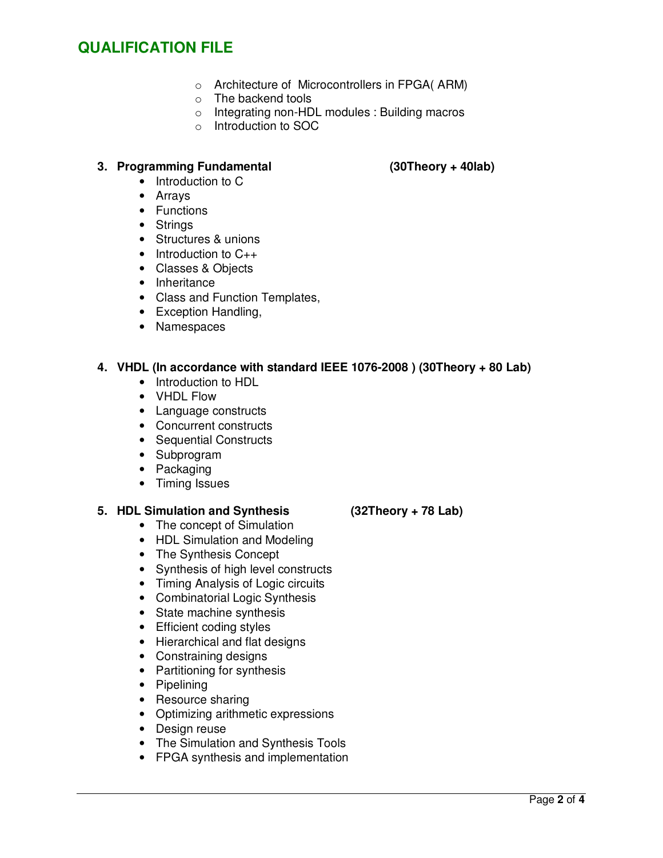## **QUALIFICATION FILE**

- o Architecture of Microcontrollers in FPGA( ARM)
- o The backend tools
- o Integrating non-HDL modules : Building macros
- o Introduction to SOC

## **3. Programming Fundamental (30Theory + 40lab)**

- Introduction to C
- Arrays
- Functions
- Strings
- Structures & unions
- Introduction to C<sub>++</sub>
- Classes & Objects
- Inheritance
- Class and Function Templates,
- Exception Handling,
- Namespaces

## **4. VHDL (In accordance with standard IEEE 1076-2008 ) (30Theory + 80 Lab)**

- Introduction to HDL
- VHDL Flow
- Language constructs
- Concurrent constructs
- Sequential Constructs
- Subprogram
- Packaging
- Timing Issues

### **5. HDL Simulation and Synthesis (32Theory + 78 Lab)**

- The concept of Simulation
- HDL Simulation and Modeling
- The Synthesis Concept
- Synthesis of high level constructs
- Timing Analysis of Logic circuits
- Combinatorial Logic Synthesis
- State machine synthesis
- Efficient coding styles
- Hierarchical and flat designs
- Constraining designs
- Partitioning for synthesis
- Pipelining
- Resource sharing
- Optimizing arithmetic expressions
- Design reuse
- The Simulation and Synthesis Tools
- FPGA synthesis and implementation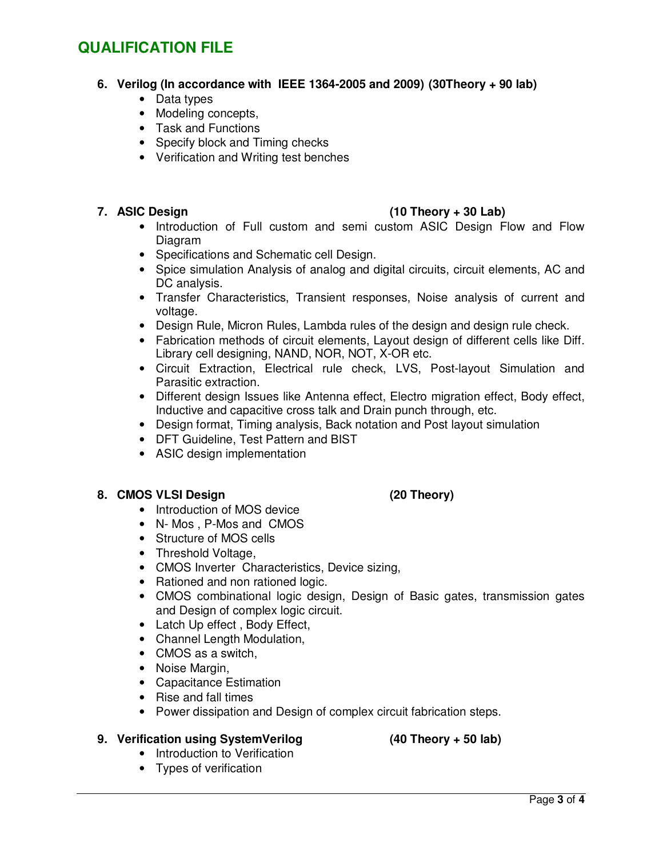## **QUALIFICATION FILE**

## **6. Verilog (In accordance with IEEE 1364-2005 and 2009) (30Theory + 90 lab)**

- Data types
- Modeling concepts,
- Task and Functions
- Specify block and Timing checks
- Verification and Writing test benches

## **7. ASIC Design (10 Theory + 30 Lab)**

- Introduction of Full custom and semi custom ASIC Design Flow and Flow Diagram
- Specifications and Schematic cell Design.
- Spice simulation Analysis of analog and digital circuits, circuit elements, AC and DC analysis.
- Transfer Characteristics, Transient responses, Noise analysis of current and voltage.
- Design Rule, Micron Rules, Lambda rules of the design and design rule check.
- Fabrication methods of circuit elements, Layout design of different cells like Diff. Library cell designing, NAND, NOR, NOT, X-OR etc.
- Circuit Extraction, Electrical rule check, LVS, Post-layout Simulation and Parasitic extraction.
- Different design Issues like Antenna effect, Electro migration effect, Body effect, Inductive and capacitive cross talk and Drain punch through, etc.
- Design format, Timing analysis, Back notation and Post layout simulation
- DFT Guideline, Test Pattern and BIST
- ASIC design implementation

### **8. CMOS VLSI Design (20 Theory)**

- Introduction of MOS device
- N- Mos , P-Mos and CMOS
- Structure of MOS cells
- Threshold Voltage,
- CMOS Inverter Characteristics, Device sizing,
- Rationed and non rationed logic.
- CMOS combinational logic design, Design of Basic gates, transmission gates and Design of complex logic circuit.
- Latch Up effect, Body Effect,
- Channel Length Modulation,
- CMOS as a switch,
- Noise Margin,
- Capacitance Estimation
- Rise and fall times
- Power dissipation and Design of complex circuit fabrication steps.

### **9. Verification using SystemVerilog (40 Theory + 50 lab)**

- 
- Introduction to Verification
- Types of verification

# Page **3** of **4**